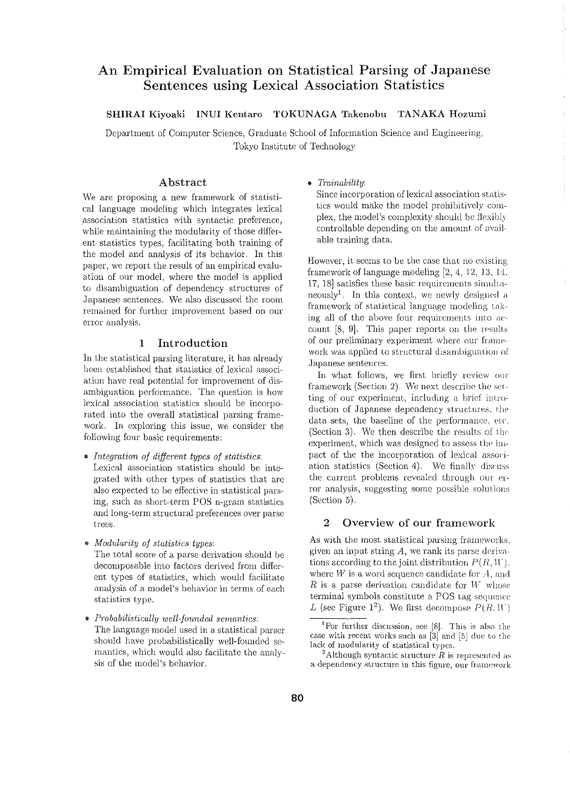# An Empirical Evaluation on Statistical Parsing of Japanese Sentences using Lexical Association Statistics

SHIRAI Kiyoaki INUI Kentaro TOKUNAGA Takenobu TANAKA Hozumi

Department of Computer Science, Graduate School of Information Science and Engineering, Tokyo Institute of Technology

# Abstract

\Ve are proposing a new framework of statistical language modeling which integrates lexical .association statistics with syntactic preference, while maintaining the modularity of those different statistics types, facilitating both training of the model and analysis of its behavior. In this paper, we report the result of an empirical evaluation of our model, where the model is applied to disambiguation of dependency structures of Japanese sentences. We also discussed the room remained for further improvement based on our error analysis.

# 1 Introduction

In the statistical parsing literature, it has already been established that statistics of lexical association have real potential for improvement of disambiguation performance. The question is how lexical association statistics should be incorporated into the overall statistical parsing framework. In exploring this issue, we consider the following four basic requirements:

- $\bullet$  *Integration of different types of statistics:* Lexical association statistics should be integrated with other types of statistics that are also expected to be effective in statistical parsing, such as short-term POS n-gram statistics and long-term structural preferences over parse trees.
- *Modularity of statistics types:*

The total score of a parse derivation should be decomposable into factors derived from different. types of statistics) which would facilitate analysis of a model's behavior in terms of each statistics type.

• *Pmbabilistically well-fottnded semantics:*  The language model used in a statistical parser should have probabilistically well-founded semantics, which would also facilitate the analysis of the model's behavior.

# o *Trainability:*

Since incorporation of lexical association statistics would make the model prohibitively complex, the model's complexity should *be* flexibly controllable depending on the amount of available training data.

However) it seems to be the case that no existing framework of language modeling  $[2, 4, 12, 13, 14]$ . 17) 18] satisfies these basic requirements simulta·· neously<sup>1</sup>. In this context, we newly designed a framework of statistical language modeling taking all of the above four requirements into account  $[8, 9]$ . This paper reports on the results. of our preliminary experiment where our framework was applied to structural disambiguation of Japanese sentences.

In what follows, we first briefly review our framework (Section 2). We next describe the setting of our experiment, including a brief introduction of Japanese dependency structures, the data sets, the baseline of the performance, etc. (Section 3). We then describe the results of the experiment, which was designed to assess the impact of the the incorporation of lexical association statistics (Section 4). We finally discuss the current problems revealed through our error analysis, suggesting some possible solutions (Section 5).

# 2 Overview of our framework

As with the most statistical parsing frameworks. given an input string  $A$ , we rank its parse derivations according to the joint distribution  $P(R, W)$ . where  $W$  is a word sequence candidate for  $A$ , and  $R$  is a parse derivation candidate for  $W$ -whose terminal symbols constitute a POS tag sequence L (see Figure 1<sup>2</sup>). We first decompose  $P(R, W)$ 

<sup>2</sup> Although syntactic structure  $R$  is represented as a dependency structure in this figure, our framework

<sup>&</sup>lt;sup>1</sup>For further discussion, see [8]. This is also the case with recent works such as  $[3]$  and  $[5]$  due to the lack of modularity of statistical types.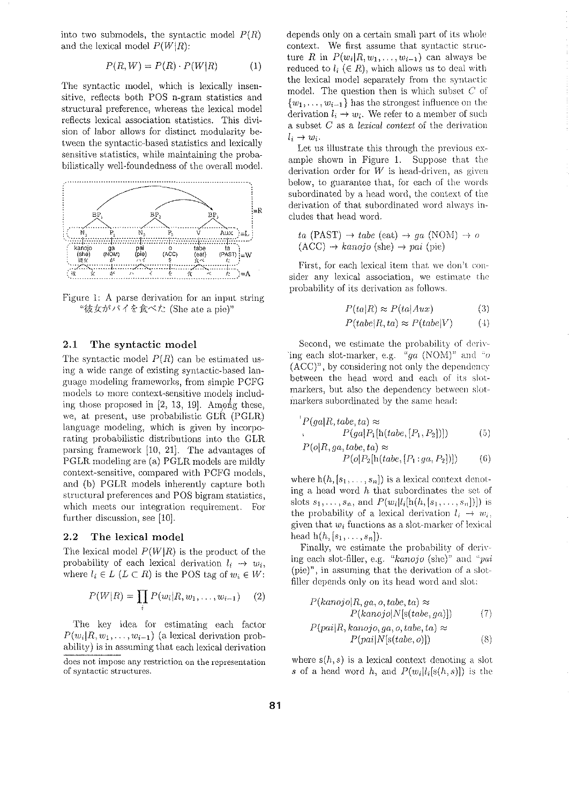into two submodels, the syntactic model  $P(R)$ and the lexical model  $P(W|R)$ :

$$
P(R, W) = P(R) \cdot P(W|R) \tag{1}
$$

The syntactic model, which is lexically insensitive, reflects both POS n-gram statistics and structural preference, whereas the lexical model reflects lexical association statistics. This division of labor allows for distinct modularity between the syntactic-based statistics and lexically sensitive statistics, while maintaining the probabilistically wcll-foundedness of the overall model.



Figure 1: A parse derivation for an input string "彼女がパイを食べた (She ate a pie)"

#### 2.1 The syntactic model

The syntactic model  $P(R)$  can be estimated using a wide range of existing syntactic-based language modeling frameworks, from simple PCFG models to more context-sensitive models including those proposed in  $[2, 13, 19]$ . Among these, we, at present, use probabilistic GLR (PGLR) language modeling, which is given by incorporating probabilistic distributions into the GLR parsing framework [10, 21]. The advantages of PGLR modeling are (a) PGLR. models are mildly context~sensitive, compared with PCFG models, and (b) PGLR. models inherently capture both structural preferences and POS bigram statistics, which meets our integration requirement. For further discussion, see [10].

# 2.2 The lexical model

The lexical model *P(WIR)* is the product of the probability of each lexical derivation  $l_i \rightarrow w_i$ , where  $l_i \in L \ (L \subset R)$  is the POS tag of  $w_i \in W$ :

$$
P(W|R) = \prod_{i} P(w_i|R, w_1, \dots, w_{i-1}) \quad (2)
$$

The key idea for estimating each factor  $P(w_i|R, w_1, \ldots, w_{i-1})$  (a lexical derivation probability) is in assuming that each lexical derivation depends only on a certain small part of its whole context. We first assume that syntactic structure *R* in  $P(w_i|R,w_1,\ldots,w_{i-1})$  can always be reduced to  $l_i \ (\in R)$ , which allows us to deal with the lexical model separately from the syntactic model. The question then is which subset  $C$  of  $\{w_1, \ldots, w_{i-1}\}\$  has the strongest influence on the derivation  $l_i \rightarrow w_i$ . We refer to a member of such a subset *C* as a *lexical context* of the derivation  $l_i \rightarrow w_i$ .

Let us illustrate this through the previous example shown in Figure 1. Suppose that the derivation order for  $W$  is head-driven, as given below, to guarantee that, for each of the words subordinated by a head word, the context of the derivation of that subordinated word always includes that head word.

 $ta$  (PAST)  $\rightarrow$  *tabe* (eat)  $\rightarrow ga$  (NOM)  $\rightarrow o$  $(ACC) \rightarrow kanojo (she) \rightarrow pai (pie)$ 

First, for each lexical item that we don't consider any lexical association, we estimate the probability of its derivation as follows.

$$
P(ta|R) \approx P(ta|Aux) \tag{3}
$$

$$
P(tabe|R, ta) \approx P(tabe|V) \tag{4}
$$

Second, we estimate the probability of deriving each slot-marker, e.g. *"ga* (NOM)" and *"o*  $(ACC)^n$ , by considering not only the dependency between the head word and each of its slotmarkers, but also the dependency between slotmarkers subordinated by the same head:

$$
P(ga|R, table, ta) \approx
$$
  
\n
$$
P(ga|P_1[h(tabe, [P_1, P_2])])
$$
\n
$$
P(o|R, ga, table, ta) \approx
$$
  
\n
$$
P(o|P_2[h(tabe, [P_1:ga, P_2])])
$$
\n(6)

where  $h(h, [s_1, \ldots, s_n])$  is a lexical context denoting a head word *h* that subordinates the set of slots  $s_1, ..., s_n$ , and  $P(w_i|l_i[h(h,[s_1,...,s_n])])$  is the probability of a lexical derivation  $l_i \rightarrow w_i$ , given that  $w_i$  functions as a slot-marker of lexical head  $h(h, [s_1, \ldots, s_n])$ .

Finally, we estimate the probability of deriving each slot-filler, e.g. *"kanojo* (she)" and "*pai* (pie)", in assuming that the derivation of a slotfiller depends only on its head word and slot:

$$
P(kanojo|R, ga, o, tabe, ta) \approx
$$
  
\n
$$
P(kanojo|N[s(tabe, ga)])
$$
(7)  
\n
$$
P(pai|R, kanojo, ga, o, tabe, ta) \approx
$$
  
\n
$$
P(pai|N[s(tabe, o)])
$$
(8)

where  $s(h, s)$  is a lexical context denoting a slot *s* of a head word h, and  $P(w_i|l_i[s(h, s)])$  is the

does not impose any restriction on the representation of syntactic structures.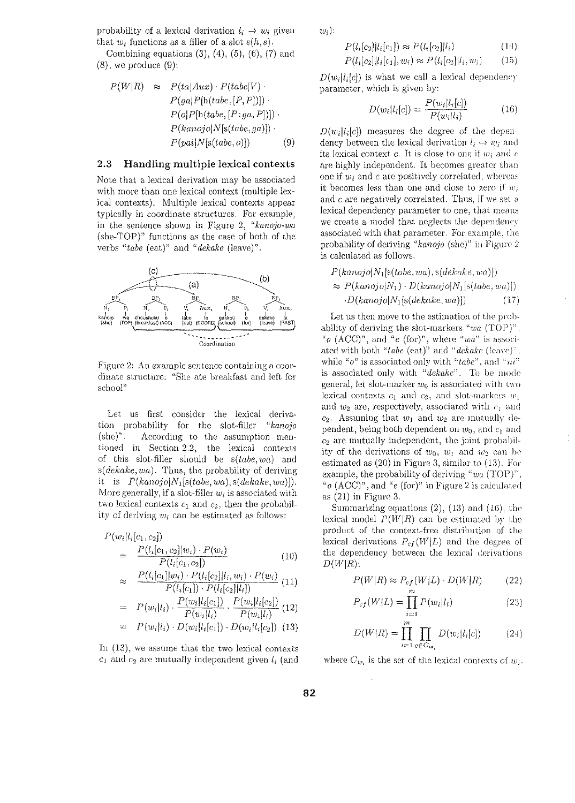probability of a lexical derivation  $l_i \rightarrow w_i$  given that  $w_i$  functions as a filler of a slot  $s(h, s)$ .

Combining equations  $(3)$ ,  $(4)$ ,  $(5)$ ,  $(6)$ ,  $(7)$  and  $(8)$ , we produce  $(9)$ :

$$
P(W|R) \approx P(ta|Aux) \cdot P(tabe|V) \cdot P(ga|P[h(tabe, [P, P])]) \cdot P(o|P[h(tabe, [P:ga, P])]) \cdot P(kanojo|N[s(tabe, ga)]) \cdot P(pai|N[s(tabe, o)]) \qquad (9)
$$

# 2.3 Handling multiple lexical contexts

Note that a lexical derivation may be associated with more than one lexical context (multiple lexical contexts). Multiple lexical contexts appear typically in coordinate structures. For example, in the sentence shown in Figure 2, "kanojo-wa (she-TOP)" functions as the case of both of the verbs "tabe (eat)" and "dekake (leave)".



Figure 2: An example sentence containing a coordinate structure: "She ate breakfast and left for school"

Let us first consider the lexical derivation probability for the slot-filler *"kanojo*   $(\text{she})^n$ . . According to the assumption mentioned in Section 2.2, the lexical contexts of this slot-filler should be *s(tabe, wa)* and *s(dekake,wa).* Thus, the probability of deriving it is  $P(kanojo|N_1[s(tabe, wa), s(dekake, wa)]$ . More generally, if a slot-filler  $w_i$  is associated with two lexical contexts  $c_1$  and  $c_2$ , then the probability of deriving  $w_i$  can be estimated as follows:

$$
P(w_i|l_i[c_1, c_2])
$$
  
= 
$$
\frac{P(l_i[c_1, c_2]|w_i) \cdot P(w_i)}{P(l_i[c_1, c_2])}
$$
 (10)  

$$
\approx \frac{P(l_i[c_1]|w_i) \cdot P(l_i[c_2]|l_i, w_i) \cdot P(w_i)}{P(l_i[c_1]) \cdot P(l_i[c_2]|l_i])}
$$
 (11)  
= 
$$
P(w_i|l_i) \cdot \frac{P(w_i|l_i[c_1])}{P(w_i|l_i)} \cdot \frac{P(w_i|l_i[c_2])}{P(w_i|l_i)}
$$
 (12)

$$
= P(w_i|l_i) \cdot D(w_i|l_i[c_1]) \cdot D(w_i|l_i[c_2]) \tag{13}
$$

In (13), we assume that the two lexical contexts  $c_1$  and  $c_2$  are mutually independent given  $l_i$  (and  $w_i$ :

$$
P(l_i[c_2]|l_i[c_1]) \approx P(l_i[c_2]|l_i)
$$
\n
$$
P(l_i[c_2]|l_i[c_1], w_i) \approx P(l_i[c_2]|l_i, w_i)
$$
\n
$$
(15)
$$

 $D(w_i|l_i|c)$  is what we call a lexical dependency parameter, which is given by:

$$
D(w_i|l_i[c]) = \frac{P(w_i|l_i[c])}{P(w_i|l_i)}
$$
(16)

 $D(w_i|l_i|c)$  measures the degree of the dependency between the lexical derivation  $l_i \rightarrow w_i$  and its lexical context c. It is close to one if  $w_i$  and  $c$ are highly independent. It becomes greater than one if  $w_i$  and  $c$  are positively correlated, whereas it becomes less than one and close to zero if  $w_i$ and  $c$  are negatively correlated. Thus, if we set a lexical dependency parameter to one, that means we create a model that neglects the dependency associated with that parameter. For example, the probability of deriving *"kanojo* (she)" in Figure 2 is calculated as follows.

$$
P(kanojolN_1[s(tabe, wa), s(dekake, wa)])
$$
  
\n
$$
\approx P(kanojolN_1) \cdot D(kanojolN_1[s(tabe, wa)])
$$
  
\n
$$
\cdot D(kanojolN_1[s(dekake, wa)])
$$
 (17)

Let us then move to the estimation of the probability of deriving the slot-markers *''wo* (TOP)" *"o* (ACC)", and *"e* (for)", where *''wa"* is associated with both "tabe (eat)" and "dekake (leave)". while "o" is associated only with "tabe", and "ni" is associated only with "dekake". To be mode general, let slot-marker  $w_0$  is associated with two lexical contexts  $c_1$  and  $c_2$ , and slot-markers  $w_1$ and  $w_2$  are, respectively, associated with  $c_1$  and  $c_2$ . Assuming that  $w_1$  and  $w_2$  are mutually dependent, being both dependent on  $w_0$ , and  $c_1$  and  $c_2$  are mutually independent, the joint probability of the derivations of  $w_0$ ,  $w_1$  and  $w_2$  can be estimated as (20) in Figure 3, similar to (13). For example, the probability of deriving *"wa* (TOP)" "*o* (ACC)", and "*e* (for)" in Figure 2 is calculated as  $(21)$  in Figure 3.

Summarizing equations  $(2)$ ,  $(13)$  and  $(16)$ , the lexical model *P(WIR)* can *be* estimated by the product of the context-free distribution of the lexical derivations  $P_{cf}(W|L)$  and the degree of the dependency between the lexical derivations  $D(W|R)$ :

$$
P(W|R) \approx P_{cf}(W|L) \cdot D(W|R) \tag{22}
$$

$$
P_{cf}(W|L) = \prod_{i=1}^{m} P(w_i|l_i)
$$
 (23)

$$
D(W|R) = \prod_{i=1}^{m} \prod_{c \in C_{w_i}} D(w_i | l_i[c])
$$
 (24)

where  $C_{w_i}$  is the set of the lexical contexts of  $w_i$ .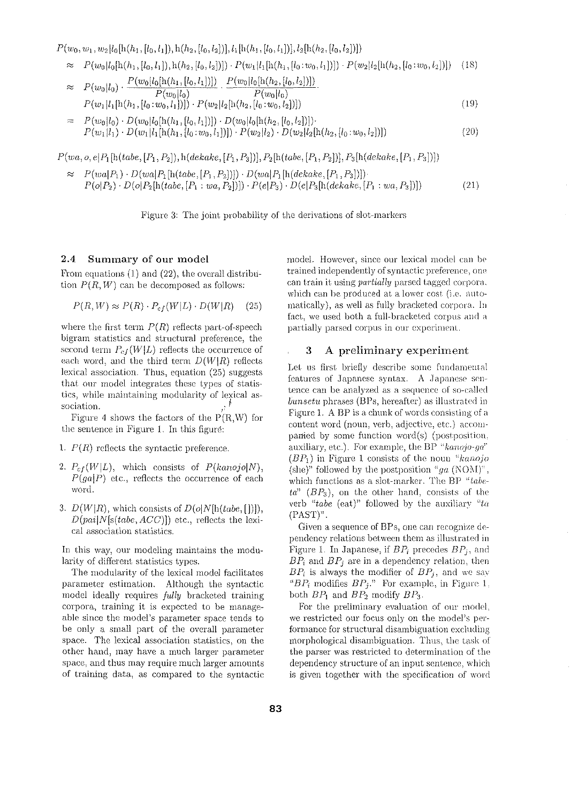$P(w_0, w_1, w_2|l_0[h(h_1, [l_0, l_1]), h(h_2, [l_0, l_2]), l_1[h(h_1, [l_0, l_1]), l_2[h(h_2, [l_0, l_2])])$ 

 $P(w_0|l_0[h(h_1,[l_0,l_1]),h(h_2,[l_0,l_2])]) \cdot P(w_1|l_1[h(h_1,[l_0:w_0,l_1]))] \cdot P(w_2|l_2[h(h_2,[l_0:w_0,l_2])])$  (18)  $P(w_0|l_0[h(h_1,[l_0,l_1]))\quad P(w_0|l_0[h(h_2,[l_0,l_2]))\rangle$ 

$$
\approx P(w_0|l_0) \cdot \frac{P(w_0|l_0|N_1, [0, v_1|)])}{P(w_0|l_0)} \cdot \frac{P(w_0|l_0)}{P(w_0|l_0)} \cdot P(w_1|l_1[h(h_1, [l_0:w_0, l_1])) \cdot P(w_2|l_2[h(h_2, [l_0:w_0, l_2])]) \tag{19}
$$

 $= P(w_0|l_0) \cdot D(w_0|l_0[h(h_1,[l_0,l_1])) \cdot D(w_0|l_0[h(h_2,[l_0,l_2])])$  $P(w_1|l_1) \cdot D(w_1|l_1[h(h_1,[l_0:w_0,l_1)]) \cdot P(w_2|l_2) \cdot D(w_2|l_2[h(h_2,[l_0:w_0,l_2])])$  (20)

 $P(wa, o, e[P_1[h(tabe, [P_1, P_2]), h(dekake, [P_1, P_3)]), P_2[h(tabe, [P_1, P_2]), P_3[h(dekake, [P_1, P_3])])$ 

 $\approx P(wa|P_1) \cdot D(wa|P_1[h(tabe, [P_1, P_2])]) \cdot D(wa|P_1[h(dekake, [P_1, P_3])])$  $P(o|P_2) \cdot D(o|P_2[h(tabe, [P_1:wa, P_2])]) \cdot P(e|P_3) \cdot D(e|P_3[h(dekake, [P_1:wa, P_3])])$  (21)

Figure 3: The joint probability of the derivations of slot-markers

# 2.4 Summary of our model

From equations  $(1)$  and  $(22)$ , the overall distribution  $P(R, W)$  can be decomposed as follows:

$$
P(R, W) \approx P(R) \cdot P_{cf}(W|L) \cdot D(W|R) \quad (25)
$$

where the first term  $P(R)$  reflects part-of-speech bigram statistics and structural preference, the second term  $P_{cf}(W|L)$  reflects the occurrence of each word, and the third term  $D(W|R)$  reflects lexical association. Thus, equation (25) suggests that our model integrates these types of statistics, while maintaining modularity of lexical association.

Figure 4 shows the factors of the  $P(R,W)$  for the sentence in Figure 1. In this figure:

- 1.  $P(R)$  reflects the syntactic preference.
- 2.  $P_{cf}(W|L)$ , which consists of  $P(kanojolN)$ , *P(gaiP)* etc., reflects the occurrence of each word.
- 3.  $D(W|R)$ , which consists of  $D(o|N[h(tabe, []))$ , *D(paiiN[s(tabc, ACC)])* etc., reflects the lexical association statistics.

In this way, our modeling maintains the modularity of different statistics types.

The modularity of the lexical model facilitates parameter estimation. Although the syntactic model ideally requires *fully* bracketed training corpora, training it is expected to be manageable since the model's parameter space tends to be only a small part of the overall parameter space. The lexical assodation statistics, on the other hand, rnay have a much larger parameter space, and thus may require much larger amounts of training data, as compared to the syntactic model. However, since our lexical model can be trained independently of syntactic preference, one can train it using *partially* parsed tagged corpora. which can be produced at a lower cost (i.e. automatically), as well as fully bracketed corpora. In fact, we used both a full-bracketed corpus and n partially parsed corpus in our experiment.

# 3 A preliminary experiment

Let us first briefly describe some fundamental features of Japanese syntax. A Japanese sentence can be analyzed as a sequence of so-called *bunsetu* phrases (BPs, hereafter) as illustrated in Figure 1. A BP is a chunk of words consisting of a content word (noun, verb, adjective, etc.) accomparied by some function word(s) (postposition, auxiliary, etc.). For example, the BP "kanojo-ga"  $(BP_1)$  in Figure 1 consists of the noun "*kanojo* (she)" followed by the postposition  $^{\alpha}ga$  (NOM)", which functions as a slot-marker. The BP "tabe*ta" (BP3 ),* on the other hand, consists of the verb "tabe (eat)" followed by the auxiliary "ta (PAST)"

Given a sequence of  $BPs$ , one can recognize dependency relations between them as illustrated in Figure 1. In Japanese, if  $BP_i$  precedes  $BP_j$ , and  $BP_i$  and  $BP_j$  are in a dependency relation, then  $BP_i$  is always the modifier of  $BP_j$ , and we say " $BP_i$  modifies  $BP_j$ ." For example, in Figure 1. both  $BP_1$  and  $BP_2$  modify  $BP_3$ .

For the preliminary evaluation of our model, we restricted our focus only on the model's performance for structural disambiguation excluding morphological disambiguation. Thus, the task of the parser was restricted to determination of the dependency structure of an input sentence, which is given together with the specification of word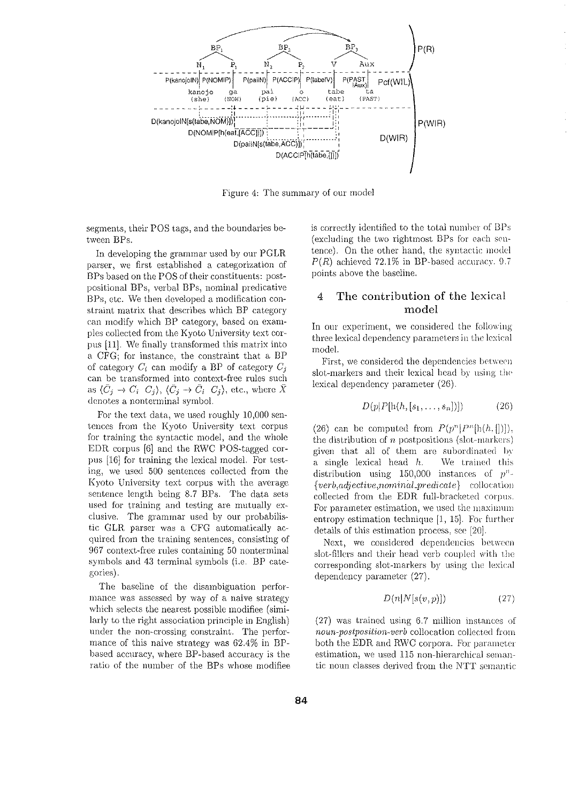

Figure 4: The summary of our model

segments, their POS tags, and the boundaries between BPs.

In developing the grammar used by our PGLR parser, we first established a categorization of BPs based on the POS of their constituents: postpositional BPs, verbal BPs, nominal predicative BPs, etc. We then developed a modification constraint matrix that describes which BP category can modify which BP category, based on examples collected from the Kyoto University text corpus [11]. *We* finally transformed this matrix into a CFG; for instance, the constraint that a BP of category  $C_i$  can modify a BP of category  $C_j$ can be transformed into context-free rules such as  $\langle \bar{C}_j \to C_i \, C_j \rangle$ ,  $\langle \bar{C}_j \to \bar{C}_i \, C_j \rangle$ , etc., where  $\bar{X}$ denotes a nonterminal symbol.

For the text data, we used roughly 10,000 sentences from the Kyoto University text corpus for training the syntactic model, and the whole EDR corpus  $[6]$  and the RWC POS-tagged corpus [16] for training the lexical model. For testing, we used 500 sentences collected from the Kyoto University text corpus with the average sentence length being 8.7 BPs. The data sets used for training and testing are mutually exclusive. The grammar used by our probabilistic GLR parser was a CFG automatically acquired from the training sentences) consisting of 967 context-free rules containing 50 nonterminal symbols and 43 terminal symbols (i.e. BP categories).

The baseline of the disambiguation performance was assessed by way of a naive strategy which selects the nearest possible modifiee (similarly to the right association principle in English) under the non-crossing constraint. The performance of this naive strategy was 62.4% in BPhased accuracy: where BP-based accuracy is the ratio of the number of the BPs whose modifiee is correctly identified to the total number of BPs (excluding the two rightmost BPs for each sentence). On the other hand, the syntactic model  $P(R)$  achieved 72.1% in BP-based accuracy. 9.7 points above the baseline.

# 4 The contribution of the lexical model

In our experiment, we considered the following three lexical dependency parameters in the lexical modeL

First, we considered the dependencies between slot-markers and their lexical head by using the lexical dependency parameter (26).

$$
D(p|P[h(h,[s_1,\ldots,s_n])])\tag{26}
$$

(26) can be computed from  $P(p^n|P^n[h(h, []))$ . the distribution of  $n$  postpositions (slot-markers) given that all of them are subordinated by a single lexical head *h.* \Ve trained this distribution using 150,000 instances of  $p^n$ -*{verb,adj ective,nom?.n(tl\_pred1.cate}* colloca t:ion collected from the EDR full-bracketed corpus. For parameter estimation, we used the maximum entropy estimation technique  $[1, 15]$ . For further details of this estimation process, see [20]-

Next, we considered dependencies between slot-fillers and their head verb coupled with the corresponding slot-markers by using the lexical dependency parameter (27).

$$
D(n|N[s(v,p)])
$$
 (27)

(27) was trained using 6.7 million instances of *noun-postposition-verb* collocation collected from both the EDR and RWC corpora. For parameter estimation, we used 115 non-hierarchical semantic noun classes derived from the N'fT semantic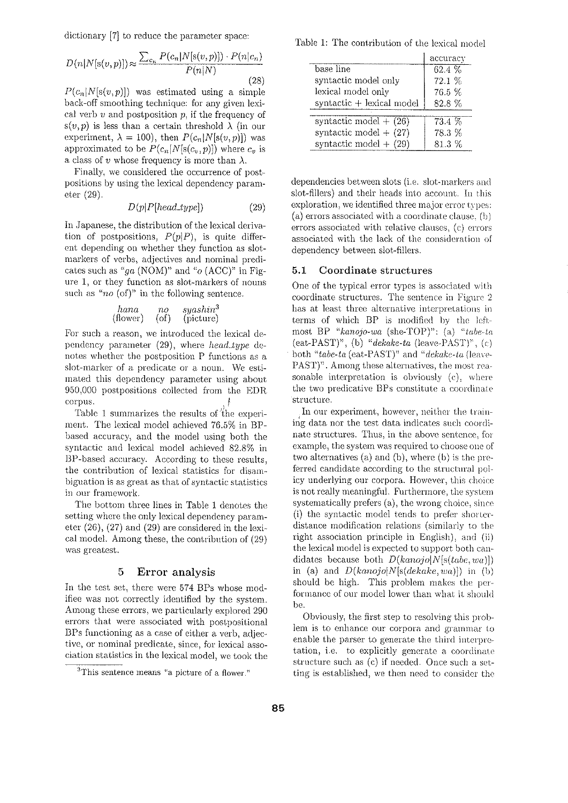dictionary [7] to reduce the parameter space:

$$
D(n|N[s(v,p)]) \approx \frac{\sum_{c_n} P(c_n|N[s(v,p)]) \cdot P(n|c_n)}{P(n|N)}
$$
\n(28)

 $P(c_n|N[s(v,p)])$  was estimated using a simple back-off smoothing technique: for any given lexical verb *v* and postposition p, if the frequency of  $s(v,p)$  is less than a certain threshold  $\lambda$  (in our experiment,  $\lambda = 100$ ), then  $P(c_n|N[s(v,p)])$  was approximated to be  $P(c_n|N[s(c_v,p)])$  where  $c_v$  is a class of *v* whose frequency is more than  $\lambda$ .

Finally, we considered the occurrence of postpositions by using the lexical dependency parameter (29).

$$
D(p|P[head\_type]) \qquad (29)
$$

In Japanese, the distribution of the lexical derivation of postpositions,  $P(p|P)$ , is quite different depending on whether they function as slotmarkers of verbs, adjectives and nominal predicatcs such as *"ga* (NOM)" and "o (ACC)" in Figure 1, or they function as slot-markers of nouns such as " $no$  (of)" in the following sentence.

\n
$$
\text{hana} \quad \text{no} \quad \text{syshin}^3
$$
\n  
\n (flower) \quad \text{(of)} \quad \text{(picture)}\n

For such a reason, we introduced the lexical dependency parameter (29), where *head type* denotes whether the postposition P functions as a slot-marker of a predicate or a noun. We estimated this dependency parameter using about 950,000 postpositions collected from the EDR  $corpus.$   $\uparrow$ 

Table 1 summarizes the results of the experiment. The lexical model achieved 76.5% in BPbascd accuracy) and the model using both the syntactic and lexical model achieved 82.8% in BP-based accuracy. According to these results, the contribution of lexical statistics for disambiguation is as great as that of syntactic statistics in our framework.

The bottom three lines in Table 1 denotes the setting where the only lexical dependency parameter (26), (27) and (29) are considered in the lexical model. Among these, the contribution of (29) was greatest.

### 5 Error analysis

In the test set, there were 574 BPs whose modifiec was not correctly identified by the system. Among these errors, we particularly explored 290 errors that were associated with postpositional BPs functioning as a case of either a verb, adjective) or nominal predicate, since, for lexical association statistics in the lexical model, we took the

Table 1: The contribution of the lexical model

|                           | accuracy |
|---------------------------|----------|
| base line                 | $62.4\%$ |
| syntactic model only      | 72.1%    |
| lexical model only        | 76.5 %   |
| syntactic + lexical model | 828%     |
| syntactic model $+$ (26)  | 73.4 %   |
| syntactic model $+$ (27)  | 78.3 %   |
| syntactic model $+$ (29)  | 813%     |

dependencies between slots (i.e. slot-markers and slot-fillers) and their heads into account. In this exploration, we identified three major error types: (a) errors associated with a coordinate clause, (b) errors associated with relative clauses, (c) errors associated with the lack of the consideration of dependency between slot-fillers.

### 5.1 Coordinate structures

One of the typical error types is associated with coordinate structures. The sentence in Figure 2 has at least three alternative interpretations in terms of which BP is modified by the leftmost BP "kanojo-wa (she-TOP)": (a) "tabe-ta (cat-PAST)", (b) *"dckake-ta* (leave-PAST)", (c) both "tabe-ta (eat-PAST)" and "dekake-ta (leave-PAST)". Among these alternatives, the most reasonable interpretation is obviously (c), where the two predicative BPs constitute a coordinate structure.

In our experiment, however, neither the training data nor the test data indicates such coordinate structures. Thus, in the above sentence, for example, the system was required to choose one of two alternatives (a) and (b), where (b) is the preferred candidate according to the structural policy underlying our corpora. However, this choice is not really meaningful. Furthermore, the system systematically prefers  $(a)$ , the wrong choice, since  $(i)$  the syntactic model tends to prefer shorterdistance modification relations (similarly to the right association principle in English): and (ii) the lexical model is expected to support both candidates because both *D(kanojoiN[s(tabc, wa)])*  in (a) and *D(kanojo!N[s(dekakc, wa)])* in (b) should be high. This problem makes the performance of our model lower than what it should be.

Obviously, the first step to resolving this problem is to enhance our corpora and grammar to enable the parser to generate the third interpretation, i.e. to explicitly generate a coordinate' structure such as (c) if needed. Once such a setting is established, \Ve then need to consider the

<sup>&</sup>lt;sup>3</sup>This sentence means "a picture of a flower."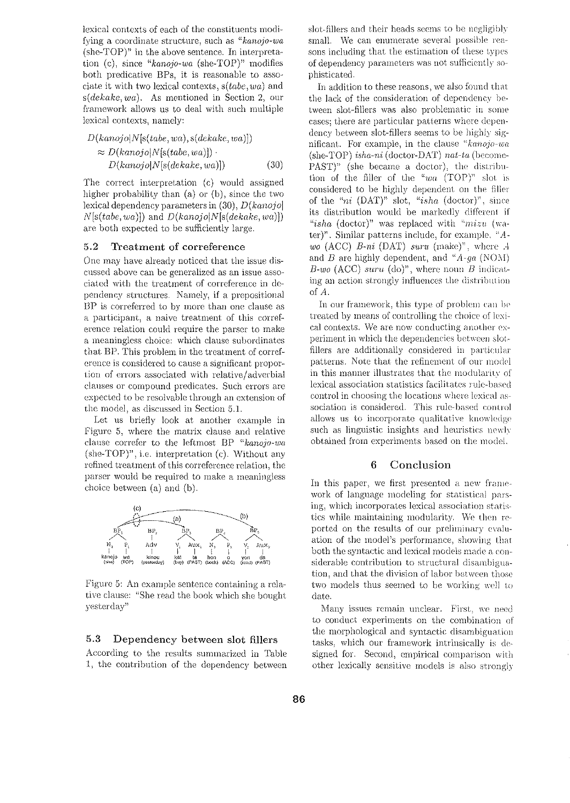lexical contexts of each of the constituents modifying a coordinate structure, such as *"kanojo-wa*   $(she-TOP)^n$  in the above sentence. In interpretation (c), since *"kanojo-wa* (she-TOP)" modifies both predicative BPs, it is reasonable to associate it with two lexical contexts, *s(tabe, wa)* and *s(dekake, wa).* As mentioned in Section 2, our framework allows us to deal with such multiple lexical contexts, namely:

$$
D(kanojo|N[s(tabe, wa), s(dekake, wa)])
$$
  
\n
$$
\approx D(kanojo|N[s(tabe, wa)])
$$
  
\n
$$
D(kanojo|N[s(dekake, wa)])
$$
 (30)

The correct interpretation (c) would assigned higher probability than (a) or (b), since the two lexical dependency parameters in (30), *D(kanojo[*  N[s(tabe, *wa)])* and *D(kanojo[N[s(dekake, wa)])*  are both expected to be sufficiently large.

# 5.2 Treatment of correference

One may have already noticed that the issue discussed above can be generalized as an issue associated with the treatment of correference in dependency structures. Narnely, if a prepositional BP is correferred to by more than one clause as a participant, a naive treatment of this correference relation could require the parser to make a meaningless choice: which clause subordinates that BP. This problem in the treatment of correference is considered to cause a significant proportion of errors associated with relative/adverbial clauses or compound predicates. Such errors are expected to be resolvable through an extension of the model, as discussed in Section 5 .1.

Let us briefly look at another example in Figure 5, where the matrix clause and relative clause correfer to the leftmost BP "kanojo-wa  $(she-TOP)^n$ , i.e. interpretation  $(c)$ . Without any refined treatment of this correference relation, the parser would be required to make a meaningless choice between (a) and (b).



Figure 5: An example sentence containing a relative clause: "She read the book which she bought yesterday"

#### 5.3 Dependency between slot fillers

According to the results summarized in Table 1, the contribution of the dependency between slot-fillers and their heads seems to be negligibly small. We can enumerate several possible reasons including that the estimation of these types of dependency parameters was not sufficiently sophisticated.

In addition to these reasons, we also found that the lack of the consideration of dependency between slot-fillers was also problematic in some cases; there are particular patterns where dependency between slot-fillers seems to be highly significant. For example) in the clause *"knnojo-wa*  (she-TOP) *ishu-ni* (doctor-DAT) *nat-ta* (become- $PAST$ )" (she became a doctor), the distribution of the ftller of the *"wa* (TOP)" slot is considered to be highly dependent on the filler of the *"ni* (DAT)" slot, *"isha* (doctor)", since its distribution would be markedly different if "isha (doctor)" was replaced with  $"mizu$  (water)<sup>n</sup>. Similar patterns include, for example, "A*wo* (ACC) *B-ni* (DAT) *suru* (make)", where A and *B* are highly dependent, and  $A - ga$  (NOM)  $B$ -wo (ACC) suru (do)", where noun *B* indicating an action strongly influences the distribution of *A.* 

In our framework, this type of problem can be treated by means of controlling the choice of lexical contexts. We are now conducting another experiment in which the dependencies between slotflllers arc additionally considered in particular patterns. Note that the refinement of our model in this manner illustrates that the modularity of lexical association statistics facilitates rule-based control in choosing the locations where lexical association is considered. This rule-based control allows us to incorporate qualitative knowledge such as linguistic insights and heuristics  $newly$ obtained from experiments based on the model.

## 6 Conclusion

In this paper, we first presented a new framework of language modeling for statistical parsing, which incorporates lexical association statistics while maintaining modularity. We then reported on the results of our preliminary evaluation of the model's performance, showing that both the syntactic and lexical models made a considerable contribution to structural disambiguation, and that the division of labor between those two models thus seemed to be working well to date.

Many issues remain unclear. First, we need to conduct experiments on the combination of the morphological and syntactic disambiguation tasks, which our framework intrinsically is designed for. Second, empirical comparison with other lexically sensitive models is also strongly